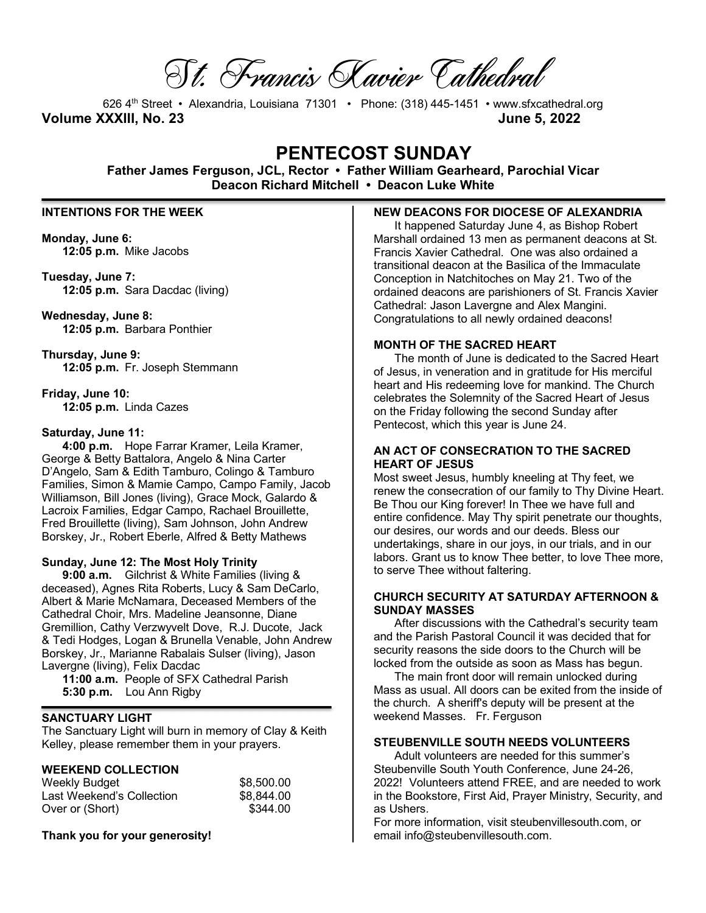St. Francis Xavier Cathedral

626 4th Street • Alexandria, Louisiana 71301 • Phone: (318) 445-1451 • www.sfxcathedral.org **Volume XXXIII, No. 23 June 5, 2022**

# **PENTECOST SUNDAY**

**Father James Ferguson, JCL, Rector • Father William Gearheard, Parochial Vicar Deacon Richard Mitchell • Deacon Luke White**

# **INTENTIONS FOR THE WEEK**

**Monday, June 6: 12:05 p.m.** Mike Jacobs

**Tuesday, June 7: 12:05 p.m.** Sara Dacdac (living)

**Wednesday, June 8: 12:05 p.m.** Barbara Ponthier

**Thursday, June 9: 12:05 p.m.** Fr. Joseph Stemmann

**Friday, June 10: 12:05 p.m.** Linda Cazes

#### **Saturday, June 11:**

**4:00 p.m.** Hope Farrar Kramer, Leila Kramer, George & Betty Battalora, Angelo & Nina Carter D'Angelo, Sam & Edith Tamburo, Colingo & Tamburo Families, Simon & Mamie Campo, Campo Family, Jacob Williamson, Bill Jones (living), Grace Mock, Galardo & Lacroix Families, Edgar Campo, Rachael Brouillette, Fred Brouillette (living), Sam Johnson, John Andrew Borskey, Jr., Robert Eberle, Alfred & Betty Mathews

#### **Sunday, June 12: The Most Holy Trinity**

**9:00 a.m.** Gilchrist & White Families (living & deceased), Agnes Rita Roberts, Lucy & Sam DeCarlo, Albert & Marie McNamara, Deceased Members of the Cathedral Choir, Mrs. Madeline Jeansonne, Diane Gremillion, Cathy Verzwyvelt Dove, R.J. Ducote, Jack & Tedi Hodges, Logan & Brunella Venable, John Andrew Borskey, Jr., Marianne Rabalais Sulser (living), Jason Lavergne (living), Felix Dacdac

**11:00 a.m.** People of SFX Cathedral Parish **5:30 p.m.** Lou Ann Rigby

#### **SANCTUARY LIGHT**

The Sanctuary Light will burn in memory of Clay & Keith Kelley, please remember them in your prayers.

# **WEEKEND COLLECTION**

| Weekly Budget             | \$8,500.00 |
|---------------------------|------------|
| Last Weekend's Collection | \$8.844.00 |
| Over or (Short)           | \$344.00   |

**Thank you for your generosity!** 

#### **NEW DEACONS FOR DIOCESE OF ALEXANDRIA**

It happened Saturday June 4, as Bishop Robert Marshall ordained 13 men as permanent deacons at St. Francis Xavier Cathedral. One was also ordained a transitional deacon at the Basilica of the Immaculate Conception in Natchitoches on May 21. Two of the ordained deacons are parishioners of St. Francis Xavier Cathedral: Jason Lavergne and Alex Mangini. Congratulations to all newly ordained deacons!

#### **MONTH OF THE SACRED HEART**

The month of June is dedicated to the Sacred Heart of Jesus, in veneration and in gratitude for His merciful heart and His redeeming love for mankind. The Church celebrates the Solemnity of the Sacred Heart of Jesus on the Friday following the second Sunday after Pentecost, which this year is June 24.

#### **AN ACT OF CONSECRATION TO THE SACRED HEART OF JESUS**

Most sweet Jesus, humbly kneeling at Thy feet, we renew the consecration of our family to Thy Divine Heart. Be Thou our King forever! In Thee we have full and entire confidence. May Thy spirit penetrate our thoughts, our desires, our words and our deeds. Bless our undertakings, share in our joys, in our trials, and in our labors. Grant us to know Thee better, to love Thee more, to serve Thee without faltering.

#### **CHURCH SECURITY AT SATURDAY AFTERNOON & SUNDAY MASSES**

After discussions with the Cathedral's security team and the Parish Pastoral Council it was decided that for security reasons the side doors to the Church will be locked from the outside as soon as Mass has begun.

The main front door will remain unlocked during Mass as usual. All doors can be exited from the inside of the church. A sheriff's deputy will be present at the weekend Masses. Fr. Ferguson

#### **STEUBENVILLE SOUTH NEEDS VOLUNTEERS**

Adult volunteers are needed for this summer's Steubenville South Youth Conference, June 24-26, 2022! Volunteers attend FREE, and are needed to work in the Bookstore, First Aid, Prayer Ministry, Security, and as Ushers.

For more information, visit steubenvillesouth.com, or email info@steubenvillesouth.com.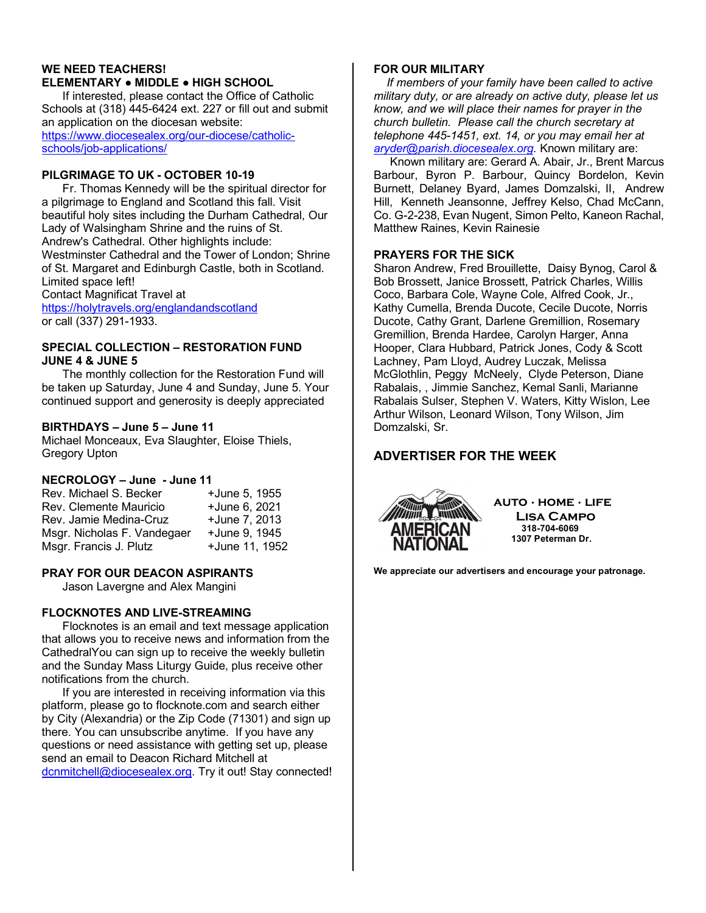#### **WE NEED TEACHERS! ELEMENTARY ● MIDDLE ● HIGH SCHOOL**

If interested, please contact the Office of Catholic Schools at (318) 445-6424 ext. 227 or fill out and submit an application on the diocesan website: https://www.diocesealex.org/our-diocese/catholicschools/job-applications/

# **PILGRIMAGE TO UK - OCTOBER 10-19**

Fr. Thomas Kennedy will be the spiritual director for a pilgrimage to England and Scotland this fall. Visit beautiful holy sites including the Durham Cathedral, Our Lady of Walsingham Shrine and the ruins of St. Andrew's Cathedral. Other highlights include: Westminster Cathedral and the Tower of London; Shrine of St. Margaret and Edinburgh Castle, both in Scotland. Limited space left! Contact Magnificat Travel at https://holytravels.org/englandandscotland

or call (337) 291-1933.

#### **SPECIAL COLLECTION – RESTORATION FUND JUNE 4 & JUNE 5**

The monthly collection for the Restoration Fund will be taken up Saturday, June 4 and Sunday, June 5. Your continued support and generosity is deeply appreciated

#### **BIRTHDAYS – June 5 – June 11**

Michael Monceaux, Eva Slaughter, Eloise Thiels, Gregory Upton

# **NECROLOGY – June - June 11**

| Rev. Michael S. Becker      | +June 5, 1955  |
|-----------------------------|----------------|
| Rev. Clemente Mauricio      | +June 6, 2021  |
| Rev. Jamie Medina-Cruz      | +June 7, 2013  |
| Msgr. Nicholas F. Vandegaer | +June 9, 1945  |
| Msgr. Francis J. Plutz      | +June 11, 1952 |

# **PRAY FOR OUR DEACON ASPIRANTS**

Jason Lavergne and Alex Mangini

# **FLOCKNOTES AND LIVE-STREAMING**

Flocknotes is an email and text message application that allows you to receive news and information from the CathedralYou can sign up to receive the weekly bulletin and the Sunday Mass Liturgy Guide, plus receive other notifications from the church.

If you are interested in receiving information via this platform, please go to flocknote.com and search either by City (Alexandria) or the Zip Code (71301) and sign up there. You can unsubscribe anytime. If you have any questions or need assistance with getting set up, please send an email to Deacon Richard Mitchell at dcnmitchell@diocesealex.org. Try it out! Stay connected!

# **FOR OUR MILITARY**

 *If members of your family have been called to active military duty, or are already on active duty, please let us know, and we will place their names for prayer in the church bulletin. Please call the church secretary at telephone 445-1451, ext. 14, or you may email her at aryder@parish.diocesealex.org.* Known military are:

 Known military are: Gerard A. Abair, Jr., Brent Marcus Barbour, Byron P. Barbour, Quincy Bordelon, Kevin Burnett, Delaney Byard, James Domzalski, II, Andrew Hill, Kenneth Jeansonne, Jeffrey Kelso, Chad McCann, Co. G-2-238, Evan Nugent, Simon Pelto, Kaneon Rachal, Matthew Raines, Kevin Rainesie

#### **PRAYERS FOR THE SICK**

Sharon Andrew, Fred Brouillette, Daisy Bynog, Carol & Bob Brossett, Janice Brossett, Patrick Charles, Willis Coco, Barbara Cole, Wayne Cole, Alfred Cook, Jr., Kathy Cumella, Brenda Ducote, Cecile Ducote, Norris Ducote, Cathy Grant, Darlene Gremillion, Rosemary Gremillion, Brenda Hardee, Carolyn Harger, Anna Hooper, Clara Hubbard, Patrick Jones, Cody & Scott Lachney, Pam Lloyd, Audrey Luczak, Melissa McGlothlin, Peggy McNeely, Clyde Peterson, Diane Rabalais, , Jimmie Sanchez, Kemal Sanli, Marianne Rabalais Sulser, Stephen V. Waters, Kitty Wislon, Lee Arthur Wilson, Leonard Wilson, Tony Wilson, Jim Domzalski, Sr.

# **ADVERTISER FOR THE WEEK**



**auto · home · life Lisa Campo 318-704-6069 1307 Peterman Dr.**

**We appreciate our advertisers and encourage your patronage.**